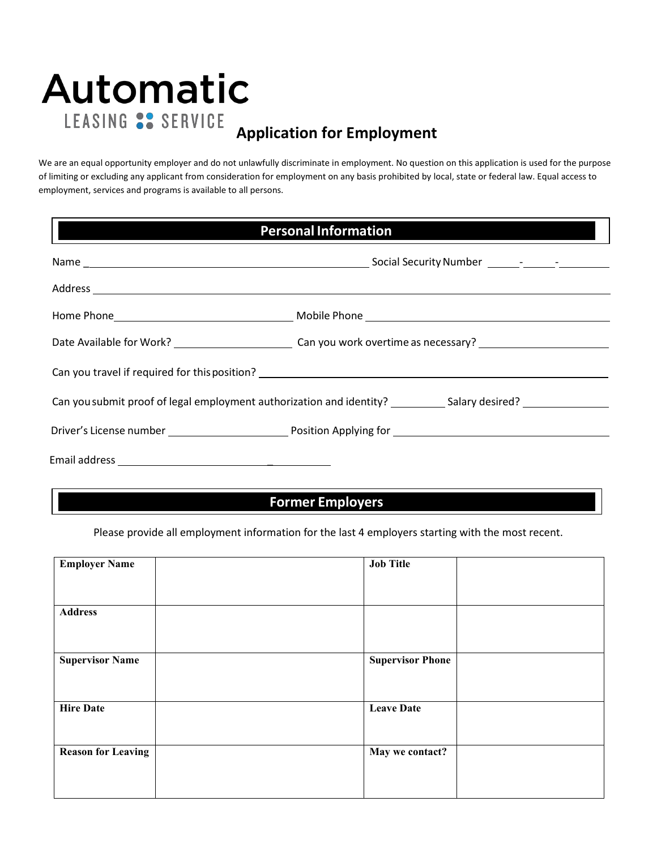# **Automatic** LEASING S. SERVICE **Application for Employment**

We are an equal opportunity employer and do not unlawfully discriminate in employment. No question on this application is used for the purpose of limiting or excluding any applicant from consideration for employment on any basis prohibited by local, state or federal law. Equal access to employment, services and programs is available to all persons.

| <b>Personal Information</b><br><u> Tanzania de la contrada de la contrada de la contrada de la contrada de la contrada de la contrada de la con</u> |  |  |  |  |
|-----------------------------------------------------------------------------------------------------------------------------------------------------|--|--|--|--|
|                                                                                                                                                     |  |  |  |  |
|                                                                                                                                                     |  |  |  |  |
|                                                                                                                                                     |  |  |  |  |
|                                                                                                                                                     |  |  |  |  |
|                                                                                                                                                     |  |  |  |  |
| Can you submit proof of legal employment authorization and identity? ____________ Salary desired? ____________                                      |  |  |  |  |
|                                                                                                                                                     |  |  |  |  |
|                                                                                                                                                     |  |  |  |  |

### **Former Employers**

Please provide all employment information for the last 4 employers starting with the most recent.

| <b>Employer Name</b>      | <b>Job Title</b>        |
|---------------------------|-------------------------|
|                           |                         |
|                           |                         |
|                           |                         |
| <b>Address</b>            |                         |
|                           |                         |
|                           |                         |
|                           |                         |
| <b>Supervisor Name</b>    | <b>Supervisor Phone</b> |
|                           |                         |
|                           |                         |
| <b>Hire Date</b>          | <b>Leave Date</b>       |
|                           |                         |
|                           |                         |
|                           |                         |
| <b>Reason for Leaving</b> | May we contact?         |
|                           |                         |
|                           |                         |
|                           |                         |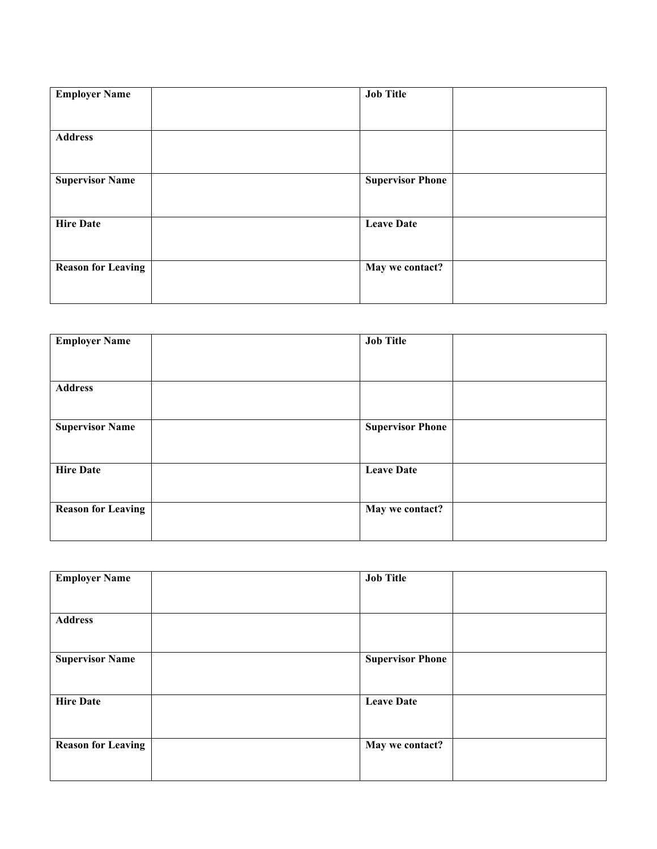| <b>Employer Name</b>      | <b>Job Title</b>        |
|---------------------------|-------------------------|
| <b>Address</b>            |                         |
| <b>Supervisor Name</b>    | <b>Supervisor Phone</b> |
| <b>Hire Date</b>          | <b>Leave Date</b>       |
| <b>Reason for Leaving</b> | May we contact?         |

| <b>Employer Name</b>      | <b>Job Title</b>        |  |
|---------------------------|-------------------------|--|
|                           |                         |  |
|                           |                         |  |
| <b>Address</b>            |                         |  |
|                           |                         |  |
| <b>Supervisor Name</b>    | <b>Supervisor Phone</b> |  |
|                           |                         |  |
| <b>Hire Date</b>          | <b>Leave Date</b>       |  |
|                           |                         |  |
| <b>Reason for Leaving</b> | May we contact?         |  |
|                           |                         |  |

| <b>Employer Name</b>      | <b>Job Title</b>        |  |
|---------------------------|-------------------------|--|
|                           |                         |  |
| <b>Address</b>            |                         |  |
| <b>Supervisor Name</b>    | <b>Supervisor Phone</b> |  |
| <b>Hire Date</b>          | <b>Leave Date</b>       |  |
| <b>Reason for Leaving</b> | May we contact?         |  |